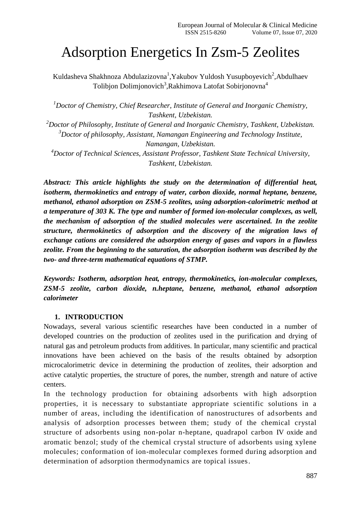# Adsorption Energetics In Zsm-5 Zeolites

Kuldasheva Shakhnoza Abdulazizovna<sup>1</sup>, Yakubov Yuldosh Yusupboyevich<sup>2</sup>, Abdulhaev Tolibjon Dolimjonovich<sup>3</sup>,Rakhimova Latofat Sobirjonovna<sup>4</sup>

*<sup>1</sup>Doctor of Chemistry, Chief Researcher, Institute of General and Inorganic Chemistry, Tashkent, Uzbekistan.*

*<sup>2</sup>Doctor of Philosophy, Institute of General and Inorganic Chemistry, Tashkent, Uzbekistan. <sup>3</sup>Doctor of philosophy, Assistant, Namangan Engineering and Technology Institute, Namangan, Uzbekistan.*

*<sup>4</sup>Doctor of Technical Sciences, Assistant Professor, Tashkent State Technical University, Tashkent, Uzbekistan.*

*Abstract: This article highlights the study on the determination of differential heat, isotherm, thermokinetics and entropy of water, carbon dioxide, normal heptane, benzene, methanol, ethanol adsorption on ZSM-5 zeolites, using adsorption-calorimetric method at a temperature of 303 K. The type and number of formed ion-molecular complexes, as well, the mechanism of adsorption of the studied molecules were ascertained. In the zeolite structure, thermokinetics of adsorption and the discovery of the migration laws of exchange cations are considered the adsorption energy of gases and vapors in a flawless zeolite. From the beginning to the saturation, the adsorption isotherm was described by the two- and three-term mathematical equations of STMP.*

*Keywords: Isotherm, adsorption heat, entropy, thermokinetics, ion-molecular complexes, ZSM-5 zeolite, carbon dioxide, n.heptane, benzene, methanol, ethanol adsorption calorimeter*

## **1. INTRODUCTION**

Nowadays, several various scientific researches have been conducted in a number of developed countries on the production of zeolites used in the purification and drying of natural gas and petroleum products from additives. In particular, many scientific and practical innovations have been achieved on the basis of the results obtained by adsorption microcalorimetric device in determining the production of zeolites, their adsorption and active catalytic properties, the structure of pores, the number, strength and nature of active centers.

In the technology production for obtaining adsorbents with high adsorption properties, it is necessary to substantiate appropriate scientific solutions in a number of areas, including the identification of nanostructures of adsorbents and analysis of adsorption processes between them; study of the chemical crystal structure of adsorbents using non-polar n-heptane, quadrapol carbon IV oxide and aromatic benzol; study of the chemical crystal structure of adsorbents using xylene molecules; conformation of ion-molecular complexes formed during adsorption and determination of adsorption thermodynamics are topical issues.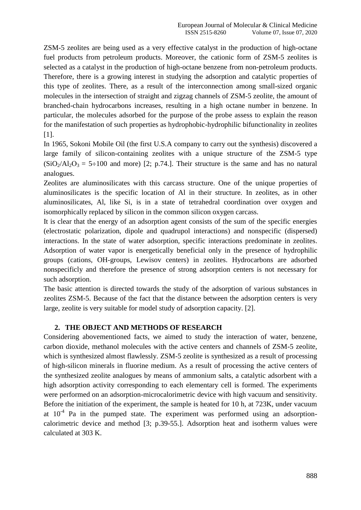ZSM-5 zeolites are being used as a very effective catalyst in the production of high-octane fuel products from petroleum products. Moreover, the cationic form of ZSM-5 zeolites is selected as a catalyst in the production of high-octane benzene from non-petroleum products. Therefore, there is a growing interest in studying the adsorption and catalytic properties of this type of zeolites. There, as a result of the interconnection among small-sized organic molecules in the intersection of straight and zigzag channels of ZSM-5 zeolite, the amount of branched-chain hydrocarbons increases, resulting in a high octane number in benzene. In particular, the molecules adsorbed for the purpose of the probe assess to explain the reason for the manifestation of such properties as hydrophobic-hydrophilic bifunctionality in zeolites  $[1]$ .

In 1965, Sokoni Mobile Oil (the first U.S.A company to carry out the synthesis) discovered a large family of silicon-containing zeolites with a unique structure of the ZSM-5 type  $(SiO<sub>2</sub>/Al<sub>2</sub>O<sub>3</sub> = 5 \div 100$  and more) [2; p.74.]. Their structure is the same and has no natural analogues.

Zeolites are aluminosilicates with this carcass structure. One of the unique properties of aluminosilicates is the specific location of Al in their structure. In zeolites, as in other aluminosilicates, Al, like Si, is in a state of tetrahedral coordination over oxygen and isomorphically replaced by silicon in the common silicon oxygen carcass.

It is clear that the energy of an adsorption agent consists of the sum of the specific energies (electrostatic polarization, dipole and quadrupol interactions) and nonspecific (dispersed) interactions. In the state of water adsorption, specific interactions predominate in zeolites. Adsorption of water vapor is energetically beneficial only in the presence of hydrophilic groups (cations, OH-groups, Lewisov centers) in zeolites. Hydrocarbons are adsorbed nonspecificly and therefore the presence of strong adsorption centers is not necessary for such adsorption.

The basic attention is directed towards the study of the adsorption of various substances in zeolites ZSM-5. Because of the fact that the distance between the adsorption centers is very large, zeolite is very suitable for model study of adsorption capacity. [2].

## **2. THE OBJECT AND METHODS OF RESEARCH**

Considering abovementioned facts, we aimed to study the interaction of water, benzene, carbon dioxide, methanol molecules with the active centers and channels of ZSM-5 zeolite, which is synthesized almost flawlessly. ZSM-5 zeolite is synthesized as a result of processing of high-silicon minerals in fluorine medium. As a result of processing the active centers of the synthesized zeolite analogues by means of ammonium salts, a catalytic adsorbent with a high adsorption activity corresponding to each elementary cell is formed. The experiments were performed on an adsorption-microcalorimetric device with high vacuum and sensitivity. Before the initiation of the experiment, the sample is heated for 10 h, at 723K, under vacuum at  $10^{-4}$  Pa in the pumped state. The experiment was performed using an adsorptioncalorimetric device and method [3; p.39-55.]. Adsorption heat and isotherm values were calculated at 303 K.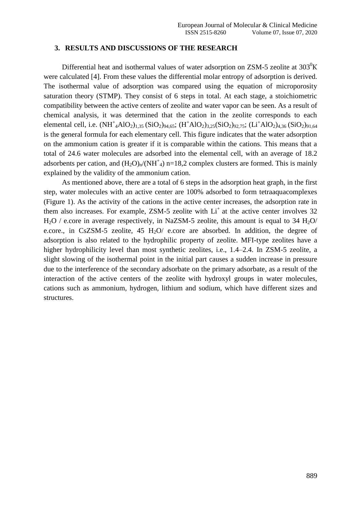#### **3. RESULTS AND DISCUSSIONS OF THE RESEARCH**

Differential heat and isothermal values of water adsorption on  $ZSM-5$  zeolite at  $303^0K$ were calculated [4]. From these values the differential molar entropy of adsorption is derived. The isothermal value of adsorption was compared using the equation of microporosity saturation theory (STMP). They consist of 6 steps in total. At each stage, a stoichiometric compatibility between the active centers of zeolite and water vapor can be seen. As a result of chemical analysis, it was determined that the cation in the zeolite corresponds to each elemental cell, i.e.  $(NH^{\dagger}_{4}AlO_{2})_{1,35} (SiO_{2})_{94,65}$ ;  $(H^{\dagger}AlO_{2})_{3,25} (SiO_{2})_{92,75}$ ;  $(Li^{\dagger}AlO_{2})_{4,36} (SiO_{2})_{91,64}$ is the general formula for each elementary cell. This figure indicates that the water adsorption on the ammonium cation is greater if it is comparable within the cations. This means that a total of 24.6 water molecules are adsorbed into the elemental cell, with an average of 18.2 adsorbents per cation, and  $(H_2O)<sub>n</sub>/(NH<sup>+</sup><sub>4</sub>)$  n=18,2 complex clusters are formed. This is mainly explained by the validity of the ammonium cation.

As mentioned above, there are a total of 6 steps in the adsorption heat graph, in the first step, water molecules with an active center are 100% adsorbed to form tetraaquacomplexes (Figure 1). As the activity of the cations in the active center increases, the adsorption rate in them also increases. For example, ZSM-5 zeolite with  $Li<sup>+</sup>$  at the active center involves 32  $H<sub>2</sub>O$  / e.core in average respectively, in NaZSM-5 zeolite, this amount is equal to 34  $H<sub>2</sub>O$ e.core., in CsZSM-5 zeolite,  $45 H<sub>2</sub>O$  e.core are absorbed. In addition, the degree of adsorption is also related to the hydrophilic property of zeolite. MFI-type zeolites have a higher hydrophilicity level than most synthetic zeolites, i.e., 1.4–2.4. In ZSM-5 zeolite, a slight slowing of the isothermal point in the initial part causes a sudden increase in pressure due to the interference of the secondary adsorbate on the primary adsorbate, as a result of the interaction of the active centers of the zeolite with hydroxyl groups in water molecules, cations such as ammonium, hydrogen, lithium and sodium, which have different sizes and structures.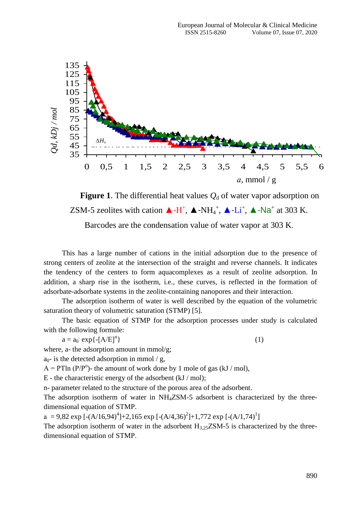

**Figure 1**. The differential heat values  $Q_d$  of water vapor adsorption on ZSM-5 zeolites with cation  $\triangle$ -H<sup>+</sup>,  $\triangle$ -NH<sub>4</sub><sup>+</sup>,  $\triangle$ -Li<sup>+</sup>,  $\triangle$ -Na<sup>+</sup> at 303 K.

Barcodes are the condensation value of water vapor at 303 K.

This has a large number of cations in the initial adsorption due to the presence of strong centers of zeolite at the intersection of the straight and reverse channels. It indicates the tendency of the centers to form aquacomplexes as a result of zeolite adsorption. In addition, a sharp rise in the isotherm, i.e., these curves, is reflected in the formation of adsorbate-adsorbate systems in the zeolite-containing nanopores and their interaction.

The adsorption isotherm of water is well described by the equation of the volumetric saturation theory of volumetric saturation (STMP) [5].

The basic equation of STMP for the adsorption processes under study is calculated with the following formule:

 $a = a_0$  exp{-[A/E]<sup>n</sup>  $\}$  (1)

where, a- the adsorption amount in mmol/g;

 $a_0$ - is the detected adsorption in mmol / g,

 $A = PTln (P/P<sup>o</sup>)$ - the amount of work done by 1 mole of gas (kJ / mol),

E - the characteristic energy of the adsorbent (kJ / mol);

n- parameter related to the structure of the porous area of the adsorbent.

The adsorption isotherm of water in NH<sub>4</sub>ZSM-5 adsorbent is characterized by the threedimensional equation of STMP.

a = 9,82 exp  $[-(A/16,94)^4]$ +2,165 exp  $[-(A/4,36)^2]$ +1,772 exp  $[-(A/1,74)^1]$ 

The adsorption isotherm of water in the adsorbent  $H_{3.25}ZSM-5$  is characterized by the threedimensional equation of STMP.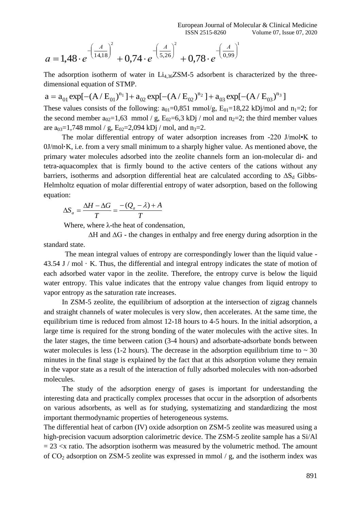$$
a = 1,48 \cdot e^{-\left(\frac{A}{14,18}\right)^2} + 0,74 \cdot e^{-\left(\frac{A}{5,26}\right)^2} + 0,78 \cdot e^{-\left(\frac{A}{0,99}\right)^2}
$$

The adsorption isotherm of water in  $Li_{4,36}ZSM-5$  adsorbent is characterized by the threedimensional equation of STMP.

 $a = a_{01} \exp[-(A/E_{01})^{n_1}] + a_{02} \exp[-(A/E_{02})^{n_2}] + a_{03} \exp[-(A/E_{03})^{n_3}]$ 

These values consists of the following:  $a_{01}=0,851 \text{ mmol/g}, E_{01}=18,22 \text{ kDi/mol}$  and  $n_1=2$ ; for the second member  $a_{02}=1,63 \text{ mmol}$  / g,  $E_{02}=6,3 \text{ kDj}$  / mol and  $n_2=2$ ; the third member values are  $a_{03}=1,748 \text{ mmol}$  / g,  $E_{02}=2,094 \text{ kDj}$  / mol, and  $n_3=2$ .

The molar differential entropy of water adsorption increases from -220 J/mol•K to 0J/mol**·**K, i.e. from a very small minimum to a sharply higher value. As mentioned above, the primary water molecules adsorbed into the zeolite channels form an ion-molecular di- and tetra-aquacomplex that is firmly bound to the active centers of the cations without any barriers, isotherms and adsorption differential heat are calculated according to  $\Delta S_d$  Gibbs-Helmholtz equation of molar differential entropy of water adsorption, based on the following equation:

$$
\Delta S_a = \frac{\Delta H - \Delta G}{T} = \frac{-(Q_a - \lambda) + A}{T}
$$

Where, where  $\lambda$ -the heat of condensation,

 ∆Н and ∆G - the changes in enthalpy and free energy during adsorption in the standard state.

The mean integral values of entropy are correspondingly lower than the liquid value - 43.54 J / mol  $\cdot$  K. Thus, the differential and integral entropy indicates the state of motion of each adsorbed water vapor in the zeolite. Therefore, the entropy curve is below the liquid water entropy. This value indicates that the entropy value changes from liquid entropy to vapor entropy as the saturation rate increases.

<sup>2</sup><br>  $+ 0,74 \cdot e^{-\left(\frac{A}{3,26}\right)^3} + 0,78 \cdot e^{-\left(\frac{A}{0,99}\right)^3}$ <br>
m of water in Li<sub>436</sub>/SM-5 adsorbent is characterized by the three-<br>
m of water in Li<sub>436</sub>/SM-5 adsorbent is characterized by the three-<br>
if STMP.<br>
in<sup>31</sup>+1 + a In ZSM-5 zeolite, the equilibrium of adsorption at the intersection of zigzag channels and straight channels of water molecules is very slow, then accelerates. At the same time, the equilibrium time is reduced from almost 12-18 hours to 4-5 hours. In the initial adsorption, a large time is required for the strong bonding of the water molecules with the active sites. In the later stages, the time between cation (3-4 hours) and adsorbate-adsorbate bonds between water molecules is less (1-2 hours). The decrease in the adsorption equilibrium time to  $\sim$  30 minutes in the final stage is explained by the fact that at this adsorption volume they remain in the vapor state as a result of the interaction of fully adsorbed molecules with non-adsorbed molecules.

The study of the adsorption energy of gases is important for understanding the interesting data and practically complex processes that occur in the adsorption of adsorbents on various adsorbents, as well as for studying, systematizing and standardizing the most important thermodynamic properties of heterogeneous systems.

The differential heat of carbon (IV) oxide adsorption on ZSM-5 zeolite was measured using a high-precision vacuum adsorption calorimetric device. The ZSM-5 zeolite sample has a Si/Al  $= 23 \times x$  ratio. The adsorption isotherm was measured by the volumetric method. The amount of  $CO<sub>2</sub>$  adsorption on ZSM-5 zeolite was expressed in mmol / g, and the isotherm index was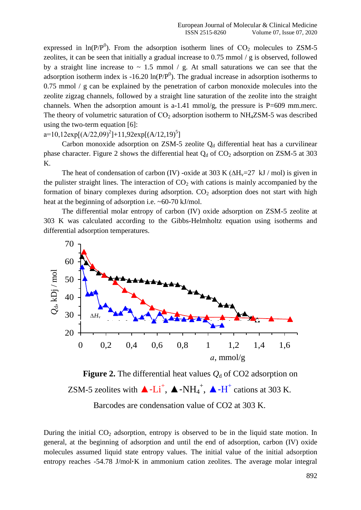expressed in  $\ln(P/P^0)$ . From the adsorption isotherm lines of  $CO_2$  molecules to ZSM-5 zeolites, it can be seen that initially a gradual increase to 0.75 mmol / g is observed, followed by a straight line increase to  $\sim$  1.5 mmol / g. At small saturations we can see that the adsorption isotherm index is -16.20  $\ln(P/P^0)$ . The gradual increase in adsorption isotherms to 0.75 mmol / g can be explained by the penetration of carbon monoxide molecules into the zeolite zigzag channels, followed by a straight line saturation of the zeolite into the straight channels. When the adsorption amount is a-1.41 mmol/g, the pressure is  $P=609$  mm.merc. The theory of volumetric saturation of  $CO<sub>2</sub>$  adsorption isotherm to NH<sub>4</sub>ZSM-5 was described using the two-term equation [6]:

 $a=10,12 \exp[(A/22,09)^2]+11,92 \exp[(A/12,19)^5]$ 

Carbon monoxide adsorption on ZSM-5 zeolite  $Q_d$  differential heat has a curvilinear phase character. Figure 2 shows the differential heat  $Q_d$  of  $CO_2$  adsorption on ZSM-5 at 303 K.

The heat of condensation of carbon (IV) -oxide at 303 K ( $\Delta H_v$ =27 kJ / mol) is given in the pulister straight lines. The interaction of  $CO<sub>2</sub>$  with cations is mainly accompanied by the formation of binary complexes during adsorption.  $CO<sub>2</sub>$  adsorption does not start with high heat at the beginning of adsorption i.e. ~60-70 kJ/mol.

The differential molar entropy of carbon (IV) oxide adsorption on ZSM-5 zeolite at 303 K was calculated according to the Gibbs-Helmholtz equation using isotherms and differential adsorption temperatures.



**Figure 2.** The differential heat values  $Q_d$  of CO2 adsorption on ZSM-5 zeolites with  $\triangle$ -Li<sup>+</sup>,  $\triangle$ -NH<sub>4</sub><sup>+</sup>,  $\triangle$ -H<sup>+</sup> cations at 303 K.

Barcodes are condensation value of CO2 at 303 K.

During the initial CO<sub>2</sub> adsorption, entropy is observed to be in the liquid state motion. In general, at the beginning of adsorption and until the end of adsorption, carbon (IV) oxide molecules assumed liquid state entropy values. The initial value of the initial adsorption entropy reaches -54.78 J/mol**·**K in ammonium cation zeolites. The average molar integral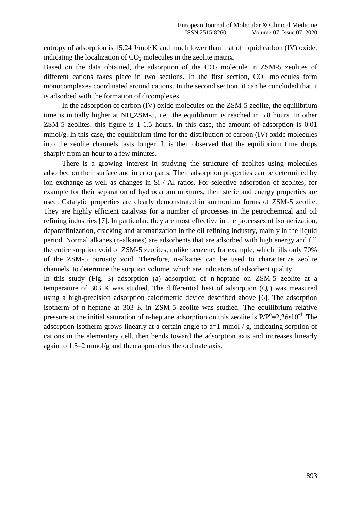entropy of adsorption is 15.24 J/mol**·**K and much lower than that of liquid carbon (IV) oxide, indicating the localization of  $CO<sub>2</sub>$  molecules in the zeolite matrix.

Based on the data obtained, the adsorption of the  $CO<sub>2</sub>$  molecule in ZSM-5 zeolites of different cations takes place in two sections. In the first section,  $CO<sub>2</sub>$  molecules form monocomplexes coordinated around cations. In the second section, it can be concluded that it is adsorbed with the formation of dicomplexes.

In the adsorption of carbon (IV) oxide molecules on the ZSM-5 zeolite, the equilibrium time is initially higher at NH4ZSM-5, i.e., the equilibrium is reached in 5.8 hours. In other ZSM-5 zeolites, this figure is 1-1.5 hours. In this case, the amount of adsorption is 0.01 mmol/g. In this case, the equilibrium time for the distribution of carbon (IV) oxide molecules into the zeolite channels lasts longer. It is then observed that the equilibrium time drops sharply from an hour to a few minutes.

There is a growing interest in studying the structure of zeolites using molecules adsorbed on their surface and interior parts. Their adsorption properties can be determined by ion exchange as well as changes in Si / Al ratios. For selective adsorption of zeolites, for example for their separation of hydrocarbon mixtures, their steric and energy properties are used. Catalytic properties are clearly demonstrated in ammonium forms of ZSM-5 zeolite. They are highly efficient catalysts for a number of processes in the petrochemical and oil refining industries [7]. In particular, they are most effective in the processes of isomerization, deparaffinization, cracking and aromatization in the oil refining industry, mainly in the liquid period. Normal alkanes (n-alkanes) are adsorbents that are adsorbed with high energy and fill the entire sorption void of ZSM-5 zeolites, unlike benzene, for example, which fills only 70% of the ZSM-5 porosity void. Therefore, n-alkanes can be used to characterize zeolite channels, to determine the sorption volume, which are indicators of adsorbent quality.

In this study (Fig. 3) adsorption (a) adsorption of n-heptane on ZSM-5 zeolite at a temperature of 303 K was studied. The differential heat of adsorption  $(O_d)$  was measured using a high-precision adsorption calorimetric device described above [6]. The adsorption isotherm of n-heptane at 303 K in ZSM-5 zeolite was studied. The equilibrium relative pressure at the initial saturation of n-heptane adsorption on this zeolite is  $P/P^{\circ}=2,26 \cdot 10^{-4}$ . The adsorption isotherm grows linearly at a certain angle to a=1 mmol / g, indicating sorption of cations in the elementary cell, then bends toward the adsorption axis and increases linearly again to 1.5–2 mmol/g and then approaches the ordinate axis.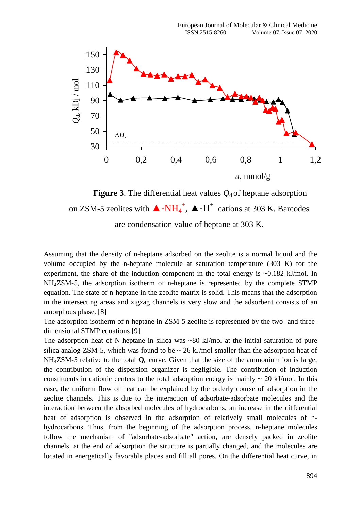

**Figure 3**. The differential heat values  $Q_d$  of heptane adsorption on ZSM-5 zeolites with  $\triangle$ -NH<sub>4</sub><sup>+</sup>,  $\triangle$ -H<sup>+</sup> cations at 303 K. Barcodes are condensation value of heptane at 303 K.

Assuming that the density of n-heptane adsorbed on the zeolite is a normal liquid and the volume occupied by the n-heptane molecule at saturation temperature (303 K) for the experiment, the share of the induction component in the total energy is  $\sim 0.182$  kJ/mol. In NН4ZSM-5, the adsorption isotherm of n-heptane is represented by the complete STMP equation. The state of n-heptane in the zeolite matrix is solid. This means that the adsorption in the intersecting areas and zigzag channels is very slow and the adsorbent consists of an amorphous phase. [8]

The adsorption isotherm of n-heptane in ZSM-5 zeolite is represented by the two- and threedimensional STMP equations [9].

The adsorption heat of N-heptane in silica was  $\sim 80$  kJ/mol at the initial saturation of pure silica analog ZSM-5, which was found to be  $\sim 26$  kJ/mol smaller than the adsorption heat of  $NH<sub>4</sub>ZSM-5$  relative to the total  $Q<sub>d</sub>$  curve. Given that the size of the ammonium ion is large, the contribution of the dispersion organizer is negligible. The contribution of induction constituents in cationic centers to the total adsorption energy is mainly  $\sim 20$  kJ/mol. In this case, the uniform flow of heat can be explained by the orderly course of adsorption in the zeolite channels. This is due to the interaction of adsorbate-adsorbate molecules and the interaction between the absorbed molecules of hydrocarbons. an increase in the differential heat of adsorption is observed in the adsorption of relatively small molecules of hhydrocarbons. Thus, from the beginning of the adsorption process, n-heptane molecules follow the mechanism of "adsorbate-adsorbate" action, are densely packed in zeolite channels, at the end of adsorption the structure is partially changed, and the molecules are located in energetically favorable places and fill all pores. On the differential heat curve, in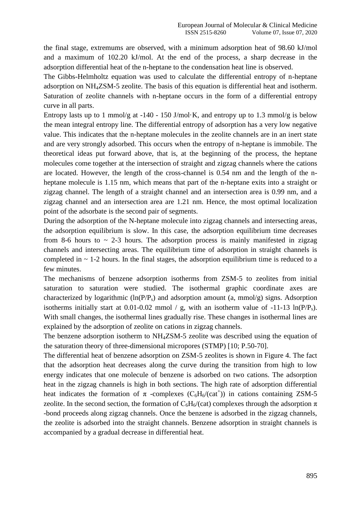the final stage, extremums are observed, with a minimum adsorption heat of 98.60 kJ/mol and a maximum of 102.20 kJ/mol. At the end of the process, a sharp decrease in the adsorption differential heat of the n-heptane to the condensation heat line is observed.

The Gibbs-Helmholtz equation was used to calculate the differential entropy of n-heptane adsorption on NН4ZSM-5 zeolite. The basis of this equation is differential heat and isotherm. Saturation of zeolite channels with n-heptane occurs in the form of a differential entropy curve in all parts.

Entropy lasts up to 1 mmol/g at -140 - 150 J/mol $\cdot$ K, and entropy up to 1.3 mmol/g is below the mean integral entropy line. The differential entropy of adsorption has a very low negative value. This indicates that the n-heptane molecules in the zeolite channels are in an inert state and are very strongly adsorbed. This occurs when the entropy of n-heptane is immobile. The theoretical ideas put forward above, that is, at the beginning of the process, the heptane molecules come together at the intersection of straight and zigzag channels where the cations are located. However, the length of the cross-channel is 0.54 nm and the length of the nheptane molecule is 1.15 nm, which means that part of the n-heptane exits into a straight or zigzag channel. The length of a straight channel and an intersection area is 0.99 nm, and a zigzag channel and an intersection area are 1.21 nm. Hence, the most optimal localization point of the adsorbate is the second pair of segments.

During the adsorption of the N-heptane molecule into zigzag channels and intersecting areas, the adsorption equilibrium is slow. In this case, the adsorption equilibrium time decreases from 8-6 hours to  $\sim$  2-3 hours. The adsorption process is mainly manifested in zigzag channels and intersecting areas. The equilibrium time of adsorption in straight channels is completed in  $\sim$  1-2 hours. In the final stages, the adsorption equilibrium time is reduced to a few minutes.

The mechanisms of benzene adsorption isotherms from ZSM-5 to zeolites from initial saturation to saturation were studied. The isothermal graphic coordinate axes are characterized by logarithmic  $(ln(P/P<sub>s</sub>)$  and adsorption amount  $(a, mmol/g)$  signs. Adsorption isotherms initially start at 0.01-0.02 mmol / g, with an isotherm value of -11-13 ln( $P/P_s$ ). With small changes, the isothermal lines gradually rise. These changes in isothermal lines are explained by the adsorption of zeolite on cations in zigzag channels.

The benzene adsorption isotherm to NH<sub>4</sub>ZSM-5 zeolite was described using the equation of the saturation theory of three-dimensional micropores (STMP) [10; P.50-70].

The differential heat of benzene adsorption on ZSM-5 zeolites is shown in Figure 4. The fact that the adsorption heat decreases along the curve during the transition from high to low energy indicates that one molecule of benzene is adsorbed on two cations. The adsorption heat in the zigzag channels is high in both sections. The high rate of adsorption differential heat indicates the formation of  $\pi$  -complexes (C<sub>6</sub>H<sub>6</sub>/(cat<sup>+</sup>)) in cations containing ZSM-5 zeolite. In the second section, the formation of  $C_6H_6/(cat)$  complexes through the adsorption  $\pi$ -bond proceeds along zigzag channels. Once the benzene is adsorbed in the zigzag channels, the zeolite is adsorbed into the straight channels. Benzene adsorption in straight channels is accompanied by a gradual decrease in differential heat.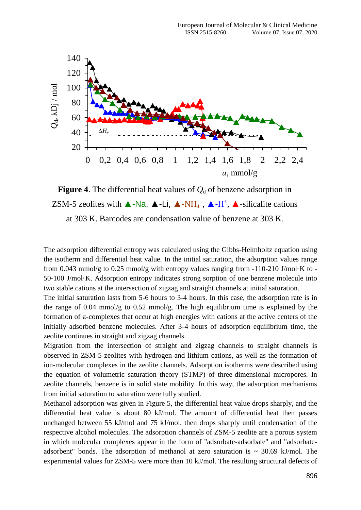

**Figure 4**. The differential heat values of  $Q_d$  of benzene adsorption in ZSM-5 zeolites with  $\blacktriangle$ -Na,  $\blacktriangle$ -Li,  $\blacktriangle$ -NH<sub>4</sub><sup>+</sup>,  $\blacktriangle$ -H<sup>+</sup>,  $\blacktriangle$ -silicalite cations at 303 K. Barcodes are condensation value of benzene at 303 K.

The adsorption differential entropy was calculated using the Gibbs-Helmholtz equation using the isotherm and differential heat value. In the initial saturation, the adsorption values range from 0.043 mmol/g to 0.25 mmol/g with entropy values ranging from -110-210 J/mol·K to - 50-100 J/mol·K. Adsorption entropy indicates strong sorption of one benzene molecule into two stable cations at the intersection of zigzag and straight channels at initial saturation.

The initial saturation lasts from 5-6 hours to 3-4 hours. In this case, the adsorption rate is in the range of  $0.04 \text{ mmol/g}$  to  $0.52 \text{ mmol/g}$ . The high equilibrium time is explained by the formation of  $\pi$ -complexes that occur at high energies with cations at the active centers of the initially adsorbed benzene molecules. After 3-4 hours of adsorption equilibrium time, the zeolite continues in straight and zigzag channels.

Migration from the intersection of straight and zigzag channels to straight channels is observed in ZSM-5 zeolites with hydrogen and lithium cations, as well as the formation of ion-molecular complexes in the zeolite channels. Adsorption isotherms were described using the equation of volumetric saturation theory (STMP) of three-dimensional micropores. In zeolite channels, benzene is in solid state mobility. In this way, the adsorption mechanisms from initial saturation to saturation were fully studied.

Methanol adsorption was given in Figure 5, the differential heat value drops sharply, and the differential heat value is about 80 kJ/mol. The amount of differential heat then passes unchanged between 55 kJ/mol and 75 kJ/mol, then drops sharply until condensation of the respective alcohol molecules. The adsorption channels of ZSM-5 zeolite are a porous system in which molecular complexes appear in the form of "adsorbate-adsorbate" and "adsorbateadsorbent" bonds. The adsorption of methanol at zero saturation is  $\sim$  30.69 kJ/mol. The experimental values for ZSM-5 were more than 10 kJ/mol. The resulting structural defects of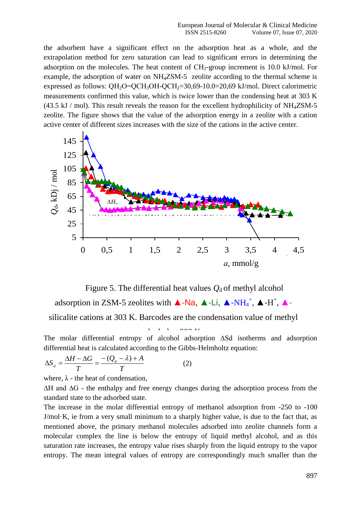the adsorbent have a significant effect on the adsorption heat as a whole, and the extrapolation method for zero saturation can lead to significant errors in determining the adsorption on the molecules. The heat content of  $CH<sub>2</sub>$ -group increment is 10.0 kJ/mol. For example, the adsorption of water on NH<sub>4</sub>ZSM-5 zeolite according to the thermal scheme is expressed as follows:  $QH_2O=QCH_3OH-QCH_2=30,69-10.0=20,69 \text{ kJ/mol}$ . Direct calorimetric measurements confirmed this value, which is twice lower than the condensing heat at 303 K  $(43.5 \text{ kJ} / \text{mol})$ . This result reveals the reason for the excellent hydrophilicity of NH<sub>4</sub>ZSM-5 zeolite. The figure shows that the value of the adsorption energy in a zeolite with a cation active center of different sizes increases with the size of the cations in the active center.



Figure 5. The differential heat values  $Q_d$  of methyl alcohol

adsorption in ZSM-5 zeolites with  $\triangle$ -Na,  $\triangle$ -Li,  $\triangle$ -NH<sub>4</sub><sup>+</sup>,  $\triangle$ -H<sup>+</sup>,  $\triangle$ -

silicalite cations at 303 K. Barcodes are the condensation value of methyl

 $\frac{1}{2}$  303 K.

The molar differential entropy of alcohol adsorption ∆Sd isotherms and adsorption differential heat is calculated according to the Gibbs-Helmholtz equation:

$$
\Delta S_a = \frac{\Delta H - \Delta G}{T} = \frac{-(Q_a - \lambda) + A}{T}
$$
 (2)

where,  $\lambda$  - the heat of condensation,

∆H and ∆G - the enthalpy and free energy changes during the adsorption process from the standard state to the adsorbed state.

The increase in the molar differential entropy of methanol adsorption from -250 to -100 J/mol·K, ie from a very small minimum to a sharply higher value, is due to the fact that, as mentioned above, the primary methanol molecules adsorbed into zeolite channels form a molecular complex the line is below the entropy of liquid methyl alcohol, and as this saturation rate increases, the entropy value rises sharply from the liquid entropy to the vapor entropy. The mean integral values of entropy are correspondingly much smaller than the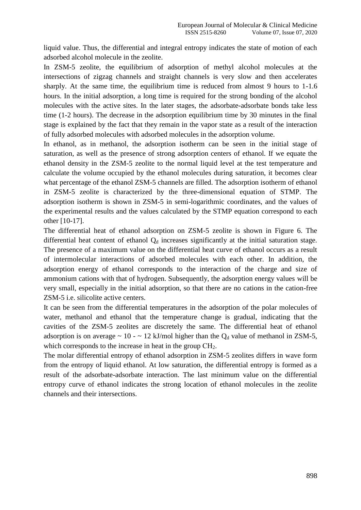liquid value. Thus, the differential and integral entropy indicates the state of motion of each adsorbed alcohol molecule in the zeolite.

In ZSM-5 zeolite, the equilibrium of adsorption of methyl alcohol molecules at the intersections of zigzag channels and straight channels is very slow and then accelerates sharply. At the same time, the equilibrium time is reduced from almost 9 hours to 1-1.6 hours. In the initial adsorption, a long time is required for the strong bonding of the alcohol molecules with the active sites. In the later stages, the adsorbate-adsorbate bonds take less time (1-2 hours). The decrease in the adsorption equilibrium time by 30 minutes in the final stage is explained by the fact that they remain in the vapor state as a result of the interaction of fully adsorbed molecules with adsorbed molecules in the adsorption volume.

In ethanol, as in methanol, the adsorption isotherm can be seen in the initial stage of saturation, as well as the presence of strong adsorption centers of ethanol. If we equate the ethanol density in the ZSM-5 zeolite to the normal liquid level at the test temperature and calculate the volume occupied by the ethanol molecules during saturation, it becomes clear what percentage of the ethanol ZSM-5 channels are filled. The adsorption isotherm of ethanol in ZSM-5 zeolite is characterized by the three-dimensional equation of STMP. The adsorption isotherm is shown in ZSM-5 in semi-logarithmic coordinates, and the values of the experimental results and the values calculated by the STMP equation correspond to each other [10-17].

The differential heat of ethanol adsorption on ZSM-5 zeolite is shown in Figure 6. The differential heat content of ethanol  $Q_d$  increases significantly at the initial saturation stage. The presence of a maximum value on the differential heat curve of ethanol occurs as a result of intermolecular interactions of adsorbed molecules with each other. In addition, the adsorption energy of ethanol corresponds to the interaction of the charge and size of ammonium cations with that of hydrogen. Subsequently, the adsorption energy values will be very small, especially in the initial adsorption, so that there are no cations in the cation-free ZSM-5 i.e. silicolite active centers.

It can be seen from the differential temperatures in the adsorption of the polar molecules of water, methanol and ethanol that the temperature change is gradual, indicating that the cavities of the ZSM-5 zeolites are discretely the same. The differential heat of ethanol adsorption is on average  $\sim 10 - \sim 12$  kJ/mol higher than the Q<sub>d</sub> value of methanol in ZSM-5, which corresponds to the increase in heat in the group CH<sub>2</sub>.

The molar differential entropy of ethanol adsorption in ZSM-5 zeolites differs in wave form from the entropy of liquid ethanol. At low saturation, the differential entropy is formed as a result of the adsorbate-adsorbate interaction. The last minimum value on the differential entropy curve of ethanol indicates the strong location of ethanol molecules in the zeolite channels and their intersections.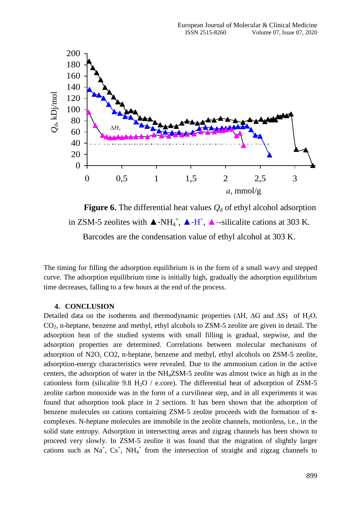

**Figure 6.** The differential heat values  $Q_d$  of ethyl alcohol adsorption in ZSM-5 zeolites with  $\blacktriangle$ -NH<sub>4</sub><sup>+</sup>,  $\blacktriangle$ -H<sup>+</sup>,  $\blacktriangle$ -silicalite cations at 303 K. Barcodes are the condensation value of ethyl alcohol at 303 K.

The timing for filling the adsorption equilibrium is in the form of a small wavy and stepped curve. The adsorption equilibrium time is initially high, gradually the adsorption equilibrium time decreases, falling to a few hours at the end of the process.

#### **4. CONCLUSION**

Detailed data on the isotherms and thermodynamic properties ( $\Delta H$ ,  $\Delta G$  and  $\Delta S$ ) of  $H_2O$ ,  $CO<sub>2</sub>$ , n-heptane, benzene and methyl, ethyl alcohols to ZSM-5 zeolite are given in detail. The adsorption heat of the studied systems with small filling is gradual, stepwise, and the adsorption properties are determined. Correlations between molecular mechanisms of adsorption of N2O, CO2, n-heptane, benzene and methyl, ethyl alcohols on ZSM-5 zeolite, adsorption-energy characteristics were revealed. Due to the ammonium cation in the active centers, the adsorption of water in the NH4ZSM-5 zeolite was almost twice as high as in the cationless form (silicalite 9.8 H<sub>2</sub>O / e.core). The differential heat of adsorption of ZSM-5 zeolite carbon monoxide was in the form of a curvilinear step, and in all experiments it was found that adsorption took place in 2 sections. It has been shown that the adsorption of benzene molecules on cations containing ZSM-5 zeolite proceeds with the formation of  $\pi$ complexes. N-heptane molecules are immobile in the zeolite channels, motionless, i.e., in the solid state entropy. Adsorption in intersecting areas and zigzag channels has been shown to proceed very slowly. In ZSM-5 zeolite it was found that the migration of slightly larger cations such as  $Na<sup>+</sup>$ ,  $Cs<sup>+</sup>$ ,  $NH<sub>4</sub><sup>+</sup>$  from the intersection of straight and zigzag channels to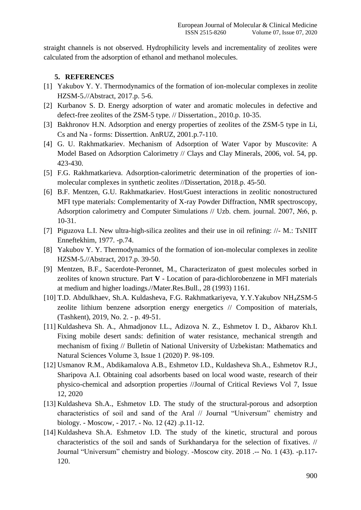straight channels is not observed. Hydrophilicity levels and incrementality of zeolites were calculated from the adsorption of ethanol and methanol molecules.

### **5. REFERENCES**

- [1] Yakubov Y. Y. Thermodynamics of the formation of ion-molecular complexes in zeolite HZSM-5.//Abstract, 2017.p. 5-6.
- [2] Kurbanov S. D. Energy adsorption of water and aromatic molecules in defective and defect-free zeolites of the ZSM-5 type. // Dissertation., 2010.p. 10-35.
- [3] Bakhronov H.N. Adsorption and energy properties of zeolites of the ZSM-5 type in Li, Cs and Na - forms: Disserttion. AnRUZ, 2001.p.7-110.
- [4] G. U. Rakhmatkariev. Mechanism of Adsorption of Water Vapor by Muscovite: A Model Based on Adsorption Calorimetry // Clays and Clay Minerals, 2006, vol. 54, pp. 423-430.
- [5] F.G. Rakhmatkarieva. Adsorption-calorimetric determination of the properties of ionmolecular complexes in synthetic zeolites //Dissertation, 2018.p. 45-50.
- [6] B.F. Mentzen, G.U. Rakhmatkariev. Host/Guest interactions in zeolitic nonostructured MFI type materials: Complementarity of X-ray Powder Diffraction, NMR spectroscopy, Adsorption calorimetry and Computer Simulations // Uzb. chem. journal. 2007, №6, p. 10-31.
- [7] Piguzova L.I. New ultra-high-silica zeolites and their use in oil refining: //- M.: TsNIIT Enneftekhim, 1977. -p.74.
- [8] Yakubov Y. Y. Thermodynamics of the formation of ion-molecular complexes in zeolite HZSM-5.//Abstract, 2017.p. 39-50.
- [9] Mentzen, B.F., Sacerdote-Peronnet, M., Characterizaton of guest molecules sorbed in zeolites of known structure. Part **V** - Location of para-dichlorobenzene in MFI materials at medium and higher loadings.//Mater.Res.Bull., 28 (1993) 1161.
- [10] T.D. Abdulkhaev, Sh.A. Kuldasheva, F.G. Rakhmatkariyeva, Y.Y.Yakubov NH4ZSM-5 zeolite lithium benzene adsorption energy energetics // Composition of materials, (Tashkent), 2019, No. 2. - p. 49-51.
- [11] Kuldasheva Sh. A., Ahmadjonov I.L., Adizova N. Z., Eshmetov I. D., Akbarov Kh.I. Fixing mobile desert sands: definition of water resistance, mechanical strength and mechanism of fixing // Bulletin of National University of Uzbekistan: Mathematics and Natural Sciences Volume 3, Issue 1 (2020) Р. 98-109.
- [12] Usmanov R.M., Abdikamalova A.B., Eshmetov I.D., Kuldasheva Sh.A., Eshmetov R.J., Sharipova A.I. Obtaining coal adsorbents based on local wood waste, research of their physico-chemical and adsorption properties //Journal of Critical Reviews Vol 7, Issue 12, 2020
- [13] Kuldasheva Sh.A., Eshmetov I.D. The study of the structural-porous and adsorption characteristics of soil and sand of the Aral // Journal "Universum" chemistry and biology. - Moscow, - 2017. - No. 12 (42) .p.11-12.
- [14] Kuldasheva Sh.A. Eshmetov I.D. The study of the kinetic, structural and porous characteristics of the soil and sands of Surkhandarya for the selection of fixatives. // Journal "Universum" chemistry and biology. -Moscow city. 2018 .-- No. 1 (43). -p.117- 120.